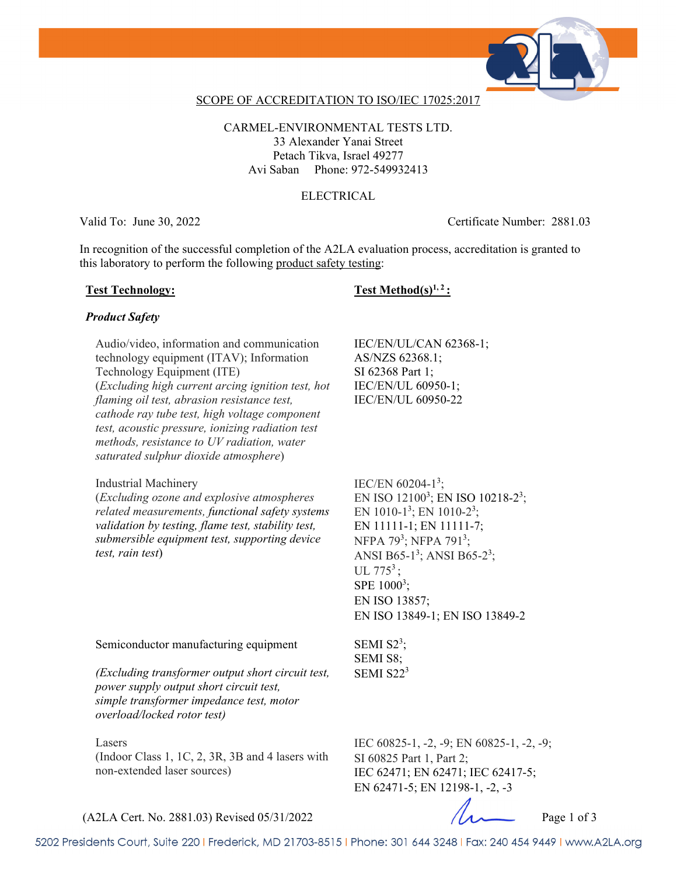

## SCOPE OF ACCREDITATION TO ISO/IEC 17025:2017

CARMEL-ENVIRONMENTAL TESTS LTD. 33 Alexander Yanai Street Petach Tikva, Israel 49277 Avi Saban Phone: 972-549932413

## ELECTRICAL

Valid To: June 30, 2022 Certificate Number: 2881.03

In recognition of the successful completion of the A2LA evaluation process, accreditation is granted to this laboratory to perform the following product safety testing:

## Test Technology: Test Method(s)<sup>1, 2</sup> :

## *Product Safety*

Audio/video, information and communication technology equipment (ITAV); Information Technology Equipment (ITE) (*Excluding high current arcing ignition test, hot flaming oil test, abrasion resistance test, cathode ray tube test, high voltage component test, acoustic pressure, ionizing radiation test methods, resistance to UV radiation, water saturated sulphur dioxide atmosphere*)

### Industrial Machinery

(*Excluding ozone and explosive atmospheres related measurements, functional safety systems validation by testing, flame test, stability test, submersible equipment test, supporting device test, rain test*)

IEC/EN/UL/CAN 62368-1; AS/NZS 62368.1; SI 62368 Part 1; IEC/EN/UL 60950-1; IEC/EN/UL 60950-22

IEC/EN  $60204 - 1^3$ ; EN ISO  $12100^3$ ; EN ISO  $10218-2^3$ ; EN 1010-1<sup>3</sup>; EN 1010-2<sup>3</sup>; EN 11111-1; EN 11111-7; NFPA 79<sup>3</sup>; NFPA 791<sup>3</sup>; ANSI B65-1<sup>3</sup>; ANSI B65-2<sup>3</sup>; UL  $775^3$ ; SPE  $1000^3$ ; EN ISO 13857; EN ISO 13849-1; EN ISO 13849-2

Semiconductor manufacturing equipment

*(Excluding transformer output short circuit test, power supply output short circuit test, simple transformer impedance test, motor overload/locked rotor test)*

### Lasers

(Indoor Class 1, 1C, 2, 3R, 3B and 4 lasers with non-extended laser sources)

SEMI  $S2^3$ ; SEMI S8; SEMI  $S22<sup>3</sup>$ 

IEC 60825-1, -2, -9; EN 60825-1, -2, -9; SI 60825 Part 1, Part 2; IEC 62471; EN 62471; IEC 62417-5; EN 62471-5; EN 12198-1, -2, -3

 $(A2LA$  Cert. No. 2881.03) Revised 05/31/2022 Page 1 of 3

5202 Presidents Court, Suite 220 | Frederick, MD 21703-8515 | Phone: 301 644 3248 | Fax: 240 454 9449 | www.A2LA.org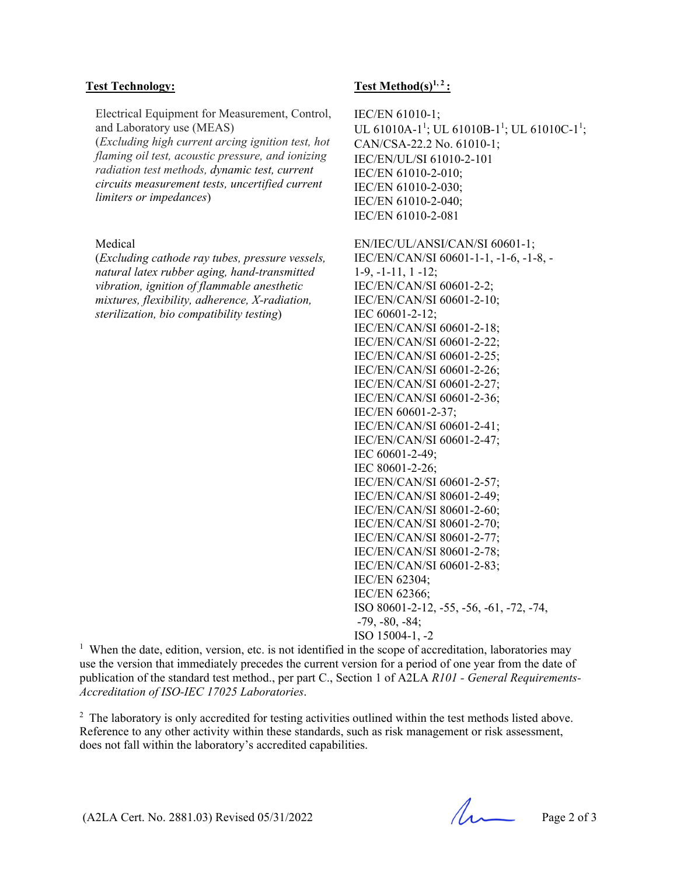Electrical Equipment for Measurement, Control, and Laboratory use (MEAS)

(*Excluding high current arcing ignition test, hot flaming oil test, acoustic pressure, and ionizing radiation test methods, dynamic test, current circuits measurement tests, uncertified current limiters or impedances*)

## Medical

(*Excluding cathode ray tubes, pressure vessels, natural latex rubber aging, hand-transmitted vibration, ignition of flammable anesthetic mixtures, flexibility, adherence, X-radiation, sterilization, bio compatibility testing*)

## Test Technology: Test Method(s)<sup>1,2</sup>:

IEC/EN 61010-1; UL 61010A-1<sup>1</sup>; UL 61010B-1<sup>1</sup>; UL 61010C-1<sup>1</sup>; CAN/CSA-22.2 No. 61010-1; IEC/EN/UL/SI 61010-2-101 IEC/EN 61010-2-010; IEC/EN 61010-2-030; IEC/EN 61010-2-040; IEC/EN 61010-2-081

EN/IEC/UL/ANSI/CAN/SI 60601-1; IEC/EN/CAN/SI 60601-1-1, -1-6, -1-8, - 1-9, -1-11, 1 -12; IEC/EN/CAN/SI 60601-2-2; IEC/EN/CAN/SI 60601-2-10; IEC 60601-2-12; IEC/EN/CAN/SI 60601-2-18; IEC/EN/CAN/SI 60601-2-22; IEC/EN/CAN/SI 60601-2-25; IEC/EN/CAN/SI 60601-2-26; IEC/EN/CAN/SI 60601-2-27; IEC/EN/CAN/SI 60601-2-36; IEC/EN 60601-2-37; IEC/EN/CAN/SI 60601-2-41; IEC/EN/CAN/SI 60601-2-47; IEC 60601-2-49; IEC 80601-2-26; IEC/EN/CAN/SI 60601-2-57; IEC/EN/CAN/SI 80601-2-49; IEC/EN/CAN/SI 80601-2-60; IEC/EN/CAN/SI 80601-2-70; IEC/EN/CAN/SI 80601-2-77; IEC/EN/CAN/SI 80601-2-78; IEC/EN/CAN/SI 60601-2-83; IEC/EN 62304; IEC/EN 62366; ISO 80601-2-12, -55, -56, -61, -72, -74, -79, -80, -84; ISO 15004-1, -2

<sup>1</sup> When the date, edition, version, etc. is not identified in the scope of accreditation, laboratories may use the version that immediately precedes the current version for a period of one year from the date of publication of the standard test method., per part C., Section 1 of A2LA *R101 - General Requirements-Accreditation of ISO-IEC 17025 Laboratories*.

<sup>2</sup> The laboratory is only accredited for testing activities outlined within the test methods listed above. Reference to any other activity within these standards, such as risk management or risk assessment, does not fall within the laboratory's accredited capabilities.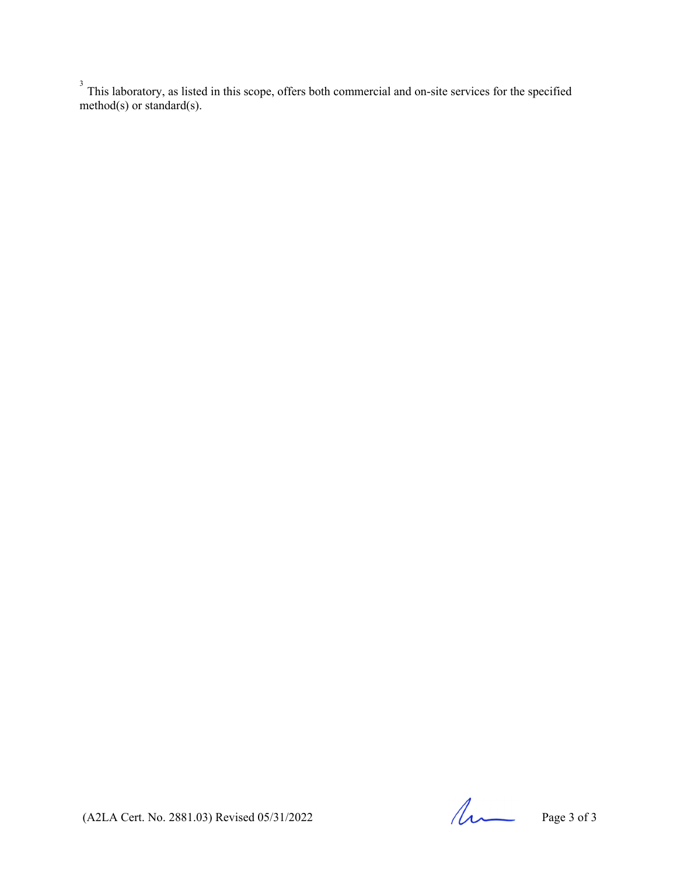$3$  This laboratory, as listed in this scope, offers both commercial and on-site services for the specified method(s) or standard(s).

(A2LA Cert. No. 2881.03) Revised 05/31/2022 Page 3 of 3